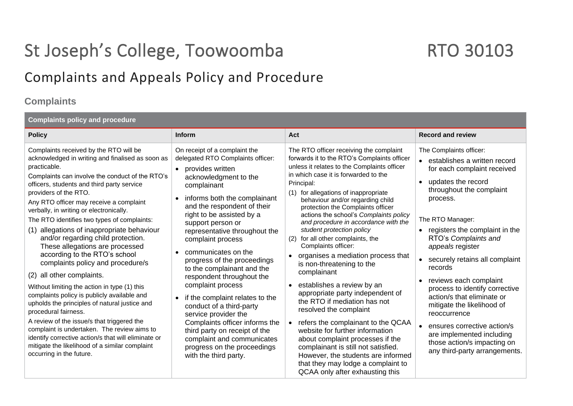# St Joseph's College, Toowoomba RTO 30103

## Complaints and Appeals Policy and Procedure

### **Complaints**

| <b>Complaints policy and procedure</b>                                                                                                                                                                                                                                                                                                                                                                                                                                                                                                                                                                                                                                                                                                                                                                                                                                                                                                                                                                        |                                                                                                                                                                                                                                                                                                                                                                                                                                                                                                                                                                                                                                                                                                                                    |                                                                                                                                                                                                                                                                                                                                                                                                                                                                                                                                                                                                                                                                                                                                                                                                                                                                                                                                                                    |                                                                                                                                                                                                                                                                                                                                                                                                                                                                                                                                                                                                     |  |
|---------------------------------------------------------------------------------------------------------------------------------------------------------------------------------------------------------------------------------------------------------------------------------------------------------------------------------------------------------------------------------------------------------------------------------------------------------------------------------------------------------------------------------------------------------------------------------------------------------------------------------------------------------------------------------------------------------------------------------------------------------------------------------------------------------------------------------------------------------------------------------------------------------------------------------------------------------------------------------------------------------------|------------------------------------------------------------------------------------------------------------------------------------------------------------------------------------------------------------------------------------------------------------------------------------------------------------------------------------------------------------------------------------------------------------------------------------------------------------------------------------------------------------------------------------------------------------------------------------------------------------------------------------------------------------------------------------------------------------------------------------|--------------------------------------------------------------------------------------------------------------------------------------------------------------------------------------------------------------------------------------------------------------------------------------------------------------------------------------------------------------------------------------------------------------------------------------------------------------------------------------------------------------------------------------------------------------------------------------------------------------------------------------------------------------------------------------------------------------------------------------------------------------------------------------------------------------------------------------------------------------------------------------------------------------------------------------------------------------------|-----------------------------------------------------------------------------------------------------------------------------------------------------------------------------------------------------------------------------------------------------------------------------------------------------------------------------------------------------------------------------------------------------------------------------------------------------------------------------------------------------------------------------------------------------------------------------------------------------|--|
| <b>Policy</b>                                                                                                                                                                                                                                                                                                                                                                                                                                                                                                                                                                                                                                                                                                                                                                                                                                                                                                                                                                                                 | <b>Inform</b>                                                                                                                                                                                                                                                                                                                                                                                                                                                                                                                                                                                                                                                                                                                      | Act                                                                                                                                                                                                                                                                                                                                                                                                                                                                                                                                                                                                                                                                                                                                                                                                                                                                                                                                                                | <b>Record and review</b>                                                                                                                                                                                                                                                                                                                                                                                                                                                                                                                                                                            |  |
| Complaints received by the RTO will be<br>acknowledged in writing and finalised as soon as<br>practicable.<br>Complaints can involve the conduct of the RTO's<br>officers, students and third party service<br>providers of the RTO.<br>Any RTO officer may receive a complaint<br>verbally, in writing or electronically.<br>The RTO identifies two types of complaints:<br>(1) allegations of inappropriate behaviour<br>and/or regarding child protection.<br>These allegations are processed<br>according to the RTO's school<br>complaints policy and procedure/s<br>(2) all other complaints.<br>Without limiting the action in type (1) this<br>complaints policy is publicly available and<br>upholds the principles of natural justice and<br>procedural fairness.<br>A review of the issue/s that triggered the<br>complaint is undertaken. The review aims to<br>identify corrective action/s that will eliminate or<br>mitigate the likelihood of a similar complaint<br>occurring in the future. | On receipt of a complaint the<br>delegated RTO Complaints officer:<br>provides written<br>$\bullet$<br>acknowledgment to the<br>complainant<br>informs both the complainant<br>and the respondent of their<br>right to be assisted by a<br>support person or<br>representative throughout the<br>complaint process<br>communicates on the<br>$\bullet$<br>progress of the proceedings<br>to the complainant and the<br>respondent throughout the<br>complaint process<br>if the complaint relates to the<br>$\bullet$<br>conduct of a third-party<br>service provider the<br>Complaints officer informs the<br>third party on receipt of the<br>complaint and communicates<br>progress on the proceedings<br>with the third party. | The RTO officer receiving the complaint<br>forwards it to the RTO's Complaints officer<br>unless it relates to the Complaints officer<br>in which case it is forwarded to the<br>Principal:<br>(1) for allegations of inappropriate<br>behaviour and/or regarding child<br>protection the Complaints officer<br>actions the school's Complaints policy<br>and procedure in accordance with the<br>student protection policy<br>for all other complaints, the<br>(2)<br>Complaints officer:<br>organises a mediation process that<br>$\bullet$<br>is non-threatening to the<br>complainant<br>establishes a review by an<br>$\bullet$<br>appropriate party independent of<br>the RTO if mediation has not<br>resolved the complaint<br>refers the complainant to the QCAA<br>website for further information<br>about complaint processes if the<br>complainant is still not satisfied.<br>However, the students are informed<br>that they may lodge a complaint to | The Complaints officer:<br>• establishes a written record<br>for each complaint received<br>updates the record<br>$\bullet$<br>throughout the complaint<br>process.<br>The RTO Manager:<br>registers the complaint in the<br>$\bullet$<br>RTO's Complaints and<br>appeals register<br>securely retains all complaint<br>records<br>reviews each complaint<br>process to identify corrective<br>action/s that eliminate or<br>mitigate the likelihood of<br>reoccurrence<br>ensures corrective action/s<br>are implemented including<br>those action/s impacting on<br>any third-party arrangements. |  |
|                                                                                                                                                                                                                                                                                                                                                                                                                                                                                                                                                                                                                                                                                                                                                                                                                                                                                                                                                                                                               |                                                                                                                                                                                                                                                                                                                                                                                                                                                                                                                                                                                                                                                                                                                                    | QCAA only after exhausting this                                                                                                                                                                                                                                                                                                                                                                                                                                                                                                                                                                                                                                                                                                                                                                                                                                                                                                                                    |                                                                                                                                                                                                                                                                                                                                                                                                                                                                                                                                                                                                     |  |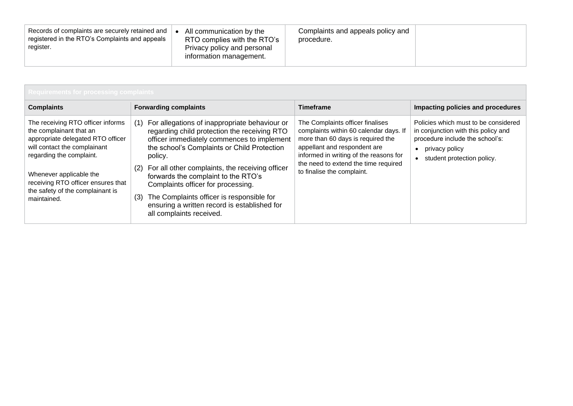| Records of complaints are securely retained and<br>registered in the RTO's Complaints and appeals<br>register. | All communication by the<br>RTO complies with the RTO's<br>Privacy policy and personal<br>information management. | Complaints and appeals policy and<br>procedure. |  |
|----------------------------------------------------------------------------------------------------------------|-------------------------------------------------------------------------------------------------------------------|-------------------------------------------------|--|
|----------------------------------------------------------------------------------------------------------------|-------------------------------------------------------------------------------------------------------------------|-------------------------------------------------|--|

| <b>Requirements for processing complaints</b>                                                                                                                                                                                                                                     |                                                                                                                                                                                                                                                                                                                                                                                                                                                                                     |                                                                                                                                                                                                                                                                 |                                                                                                                                                                             |
|-----------------------------------------------------------------------------------------------------------------------------------------------------------------------------------------------------------------------------------------------------------------------------------|-------------------------------------------------------------------------------------------------------------------------------------------------------------------------------------------------------------------------------------------------------------------------------------------------------------------------------------------------------------------------------------------------------------------------------------------------------------------------------------|-----------------------------------------------------------------------------------------------------------------------------------------------------------------------------------------------------------------------------------------------------------------|-----------------------------------------------------------------------------------------------------------------------------------------------------------------------------|
| <b>Complaints</b>                                                                                                                                                                                                                                                                 | <b>Forwarding complaints</b>                                                                                                                                                                                                                                                                                                                                                                                                                                                        | <b>Timeframe</b>                                                                                                                                                                                                                                                | Impacting policies and procedures                                                                                                                                           |
| The receiving RTO officer informs<br>the complainant that an<br>appropriate delegated RTO officer<br>will contact the complainant<br>regarding the complaint.<br>Whenever applicable the<br>receiving RTO officer ensures that<br>the safety of the complainant is<br>maintained. | For allegations of inappropriate behaviour or<br>(1)<br>regarding child protection the receiving RTO<br>officer immediately commences to implement<br>the school's Complaints or Child Protection<br>policy.<br>For all other complaints, the receiving officer<br>(2)<br>forwards the complaint to the RTO's<br>Complaints officer for processing.<br>The Complaints officer is responsible for<br>(3)<br>ensuring a written record is established for<br>all complaints received. | The Complaints officer finalises<br>complaints within 60 calendar days. If<br>more than 60 days is required the<br>appellant and respondent are<br>informed in writing of the reasons for<br>the need to extend the time required<br>to finalise the complaint. | Policies which must to be considered<br>in conjunction with this policy and<br>procedure include the school's:<br>privacy policy<br>$\bullet$<br>student protection policy. |